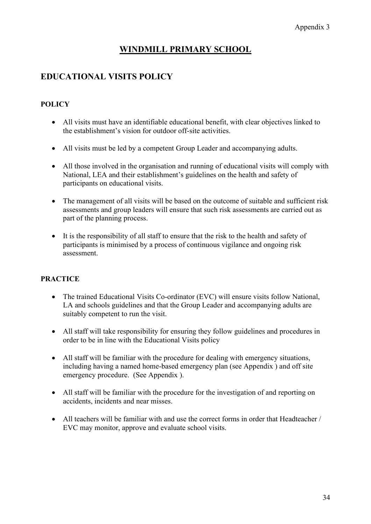# **WINDMILL PRIMARY SCHOOL**

## **EDUCATIONAL VISITS POLICY**

### **POLICY**

- All visits must have an identifiable educational benefit, with clear objectives linked to the establishment's vision for outdoor off-site activities.
- All visits must be led by a competent Group Leader and accompanying adults.
- All those involved in the organisation and running of educational visits will comply with National, LEA and their establishment's guidelines on the health and safety of participants on educational visits.
- The management of all visits will be based on the outcome of suitable and sufficient risk assessments and group leaders will ensure that such risk assessments are carried out as part of the planning process.
- It is the responsibility of all staff to ensure that the risk to the health and safety of participants is minimised by a process of continuous vigilance and ongoing risk assessment.

#### **PRACTICE**

- The trained Educational Visits Co-ordinator (EVC) will ensure visits follow National, LA and schools guidelines and that the Group Leader and accompanying adults are suitably competent to run the visit.
- All staff will take responsibility for ensuring they follow guidelines and procedures in order to be in line with the Educational Visits policy
- All staff will be familiar with the procedure for dealing with emergency situations, including having a named home-based emergency plan (see Appendix ) and off site emergency procedure. (See Appendix ).
- All staff will be familiar with the procedure for the investigation of and reporting on accidents, incidents and near misses.
- All teachers will be familiar with and use the correct forms in order that Headteacher / EVC may monitor, approve and evaluate school visits.